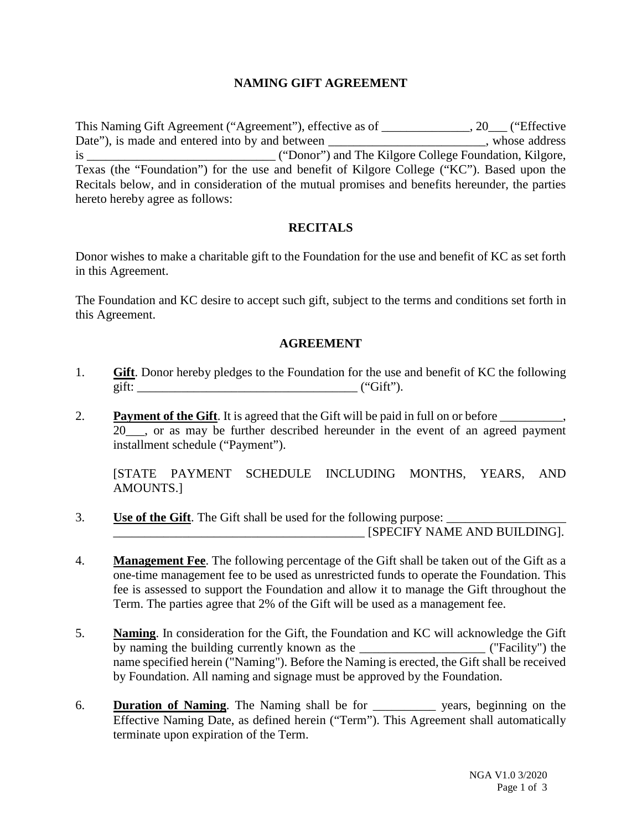# **NAMING GIFT AGREEMENT**

This Naming Gift Agreement ("Agreement"), effective as of \_\_\_\_\_\_\_\_\_\_\_\_\_\_, 20\_\_\_ ("Effective Date"), is made and entered into by and between \_\_\_\_\_\_\_\_\_\_\_\_\_\_\_\_\_\_\_\_\_\_\_, whose address is \_\_\_\_\_\_\_\_\_\_\_\_\_\_\_\_\_\_\_\_\_\_\_\_\_\_\_\_\_\_ ("Donor") and The Kilgore College Foundation, Kilgore, Texas (the "Foundation") for the use and benefit of Kilgore College ("KC"). Based upon the Recitals below, and in consideration of the mutual promises and benefits hereunder, the parties hereto hereby agree as follows:

## **RECITALS**

Donor wishes to make a charitable gift to the Foundation for the use and benefit of KC as set forth in this Agreement.

The Foundation and KC desire to accept such gift, subject to the terms and conditions set forth in this Agreement.

#### **AGREEMENT**

- 1. **Gift**. Donor hereby pledges to the Foundation for the use and benefit of KC the following gift:  $(\text{``Gift''})$ .
- 2. **Payment of the Gift**. It is agreed that the Gift will be paid in full on or before 20\_\_\_, or as may be further described hereunder in the event of an agreed payment installment schedule ("Payment").

[STATE PAYMENT SCHEDULE INCLUDING MONTHS, YEARS, AND AMOUNTS.]

- 3. **Use of the Gift**. The Gift shall be used for the following purpose: \_\_\_\_\_\_\_\_\_\_\_\_\_\_\_\_\_\_\_\_\_\_\_\_\_\_\_\_\_\_\_\_\_\_\_\_\_\_\_\_ [SPECIFY NAME AND BUILDING].
- 4. **Management Fee**. The following percentage of the Gift shall be taken out of the Gift as a one-time management fee to be used as unrestricted funds to operate the Foundation. This fee is assessed to support the Foundation and allow it to manage the Gift throughout the Term. The parties agree that 2% of the Gift will be used as a management fee.
- 5. **Naming**. In consideration for the Gift, the Foundation and KC will acknowledge the Gift by naming the building currently known as the \_\_\_\_\_\_\_\_\_\_\_\_\_\_\_\_\_\_\_\_ ("Facility") the name specified herein ("Naming"). Before the Naming is erected, the Gift shall be received by Foundation. All naming and signage must be approved by the Foundation.
- 6. **Duration of Naming**. The Naming shall be for \_\_\_\_\_\_\_\_\_\_ years, beginning on the Effective Naming Date, as defined herein ("Term"). This Agreement shall automatically terminate upon expiration of the Term.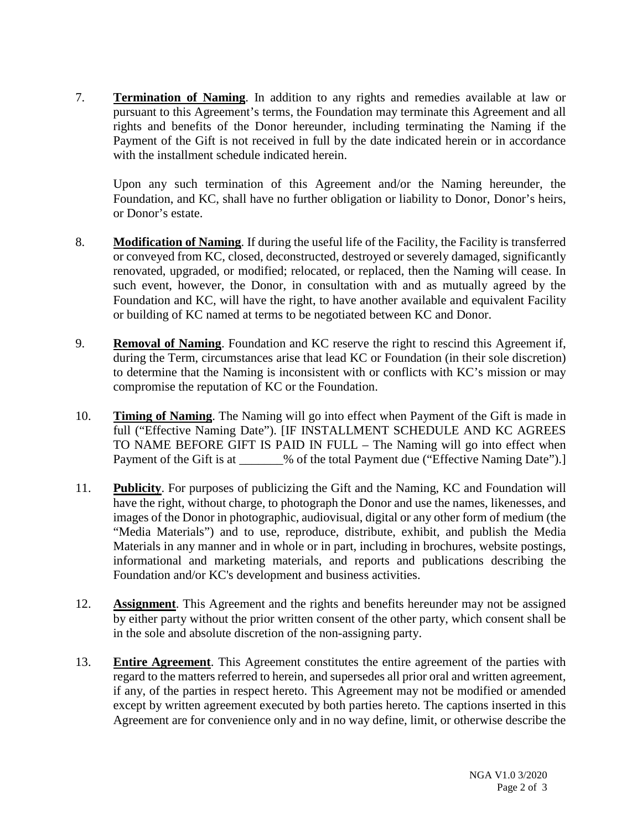7. **Termination of Naming**. In addition to any rights and remedies available at law or pursuant to this Agreement's terms, the Foundation may terminate this Agreement and all rights and benefits of the Donor hereunder, including terminating the Naming if the Payment of the Gift is not received in full by the date indicated herein or in accordance with the installment schedule indicated herein.

Upon any such termination of this Agreement and/or the Naming hereunder, the Foundation, and KC, shall have no further obligation or liability to Donor, Donor's heirs, or Donor's estate.

- 8. **Modification of Naming**. If during the useful life of the Facility, the Facility is transferred or conveyed from KC, closed, deconstructed, destroyed or severely damaged, significantly renovated, upgraded, or modified; relocated, or replaced, then the Naming will cease. In such event, however, the Donor, in consultation with and as mutually agreed by the Foundation and KC, will have the right, to have another available and equivalent Facility or building of KC named at terms to be negotiated between KC and Donor.
- 9. **Removal of Naming**. Foundation and KC reserve the right to rescind this Agreement if, during the Term, circumstances arise that lead KC or Foundation (in their sole discretion) to determine that the Naming is inconsistent with or conflicts with KC's mission or may compromise the reputation of KC or the Foundation.
- 10. **Timing of Naming**. The Naming will go into effect when Payment of the Gift is made in full ("Effective Naming Date"). [IF INSTALLMENT SCHEDULE AND KC AGREES TO NAME BEFORE GIFT IS PAID IN FULL – The Naming will go into effect when Payment of the Gift is at \_\_\_\_\_\_% of the total Payment due ("Effective Naming Date").]
- 11. **Publicity**. For purposes of publicizing the Gift and the Naming, KC and Foundation will have the right, without charge, to photograph the Donor and use the names, likenesses, and images of the Donor in photographic, audiovisual, digital or any other form of medium (the "Media Materials") and to use, reproduce, distribute, exhibit, and publish the Media Materials in any manner and in whole or in part, including in brochures, website postings, informational and marketing materials, and reports and publications describing the Foundation and/or KC's development and business activities.
- 12. **Assignment**. This Agreement and the rights and benefits hereunder may not be assigned by either party without the prior written consent of the other party, which consent shall be in the sole and absolute discretion of the non-assigning party.
- 13. **Entire Agreement**. This Agreement constitutes the entire agreement of the parties with regard to the matters referred to herein, and supersedes all prior oral and written agreement, if any, of the parties in respect hereto. This Agreement may not be modified or amended except by written agreement executed by both parties hereto. The captions inserted in this Agreement are for convenience only and in no way define, limit, or otherwise describe the